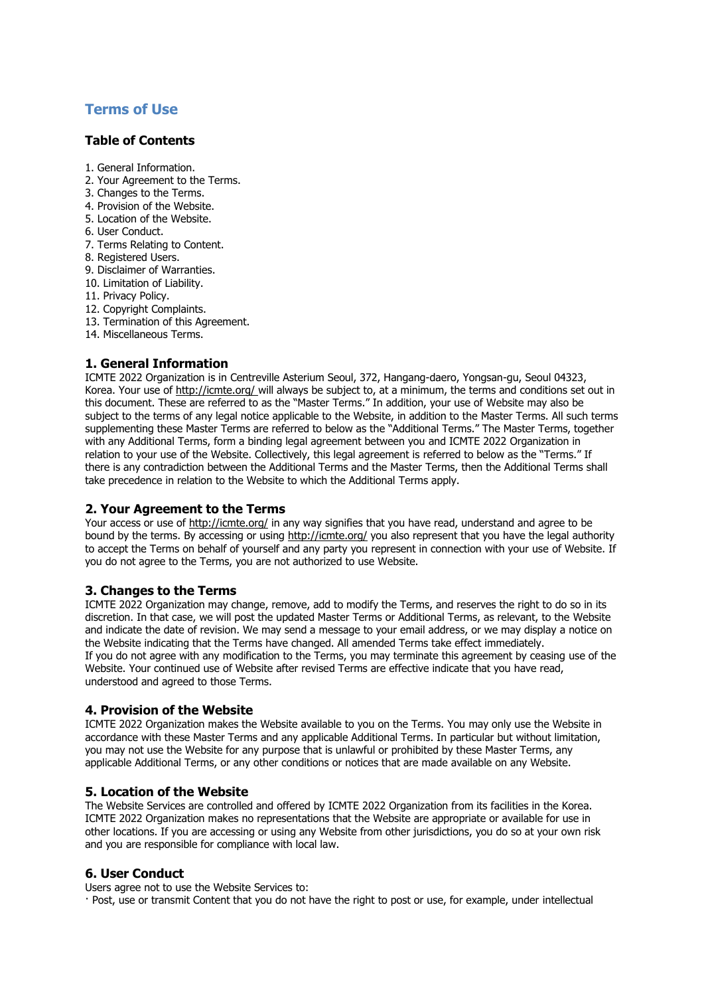# **Terms of Use**

# **Table of Contents**

- 1. General Information.
- 2. Your Agreement to the Terms.
- 3. Changes to the Terms.
- 4. Provision of the Website.
- 5. Location of the Website.
- 6. User Conduct.
- 7. Terms Relating to Content.
- 8. Registered Users.
- 9. Disclaimer of Warranties.
- 10. Limitation of Liability.
- 11. Privacy Policy.
- 12. Copyright Complaints.
- 13. Termination of this Agreement.
- 14. Miscellaneous Terms.

# **1. General Information**

ICMTE 2022 Organization is in Centreville Asterium Seoul, 372, Hangang-daero, Yongsan-gu, Seoul 04323, Korea. Your use o[f http://icmte.org/](http://icmte.org/) will always be subject to, at a minimum, the terms and conditions set out in this document. These are referred to as the "Master Terms." In addition, your use of Website may also be subject to the terms of any legal notice applicable to the Website, in addition to the Master Terms. All such terms supplementing these Master Terms are referred to below as the "Additional Terms." The Master Terms, together with any Additional Terms, form a binding legal agreement between you and ICMTE 2022 Organization in relation to your use of the Website. Collectively, this legal agreement is referred to below as the "Terms." If there is any contradiction between the Additional Terms and the Master Terms, then the Additional Terms shall take precedence in relation to the Website to which the Additional Terms apply.

# **2. Your Agreement to the Terms**

Your access or use of<http://icmte.org/> in any way signifies that you have read, understand and agree to be bound by the terms. By accessing or using<http://icmte.org/> you also represent that you have the legal authority to accept the Terms on behalf of yourself and any party you represent in connection with your use of Website. If you do not agree to the Terms, you are not authorized to use Website.

# **3. Changes to the Terms**

ICMTE 2022 Organization may change, remove, add to modify the Terms, and reserves the right to do so in its discretion. In that case, we will post the updated Master Terms or Additional Terms, as relevant, to the Website and indicate the date of revision. We may send a message to your email address, or we may display a notice on the Website indicating that the Terms have changed. All amended Terms take effect immediately. If you do not agree with any modification to the Terms, you may terminate this agreement by ceasing use of the Website. Your continued use of Website after revised Terms are effective indicate that you have read, understood and agreed to those Terms.

# **4. Provision of the Website**

ICMTE 2022 Organization makes the Website available to you on the Terms. You may only use the Website in accordance with these Master Terms and any applicable Additional Terms. In particular but without limitation, you may not use the Website for any purpose that is unlawful or prohibited by these Master Terms, any applicable Additional Terms, or any other conditions or notices that are made available on any Website.

# **5. Location of the Website**

The Website Services are controlled and offered by ICMTE 2022 Organization from its facilities in the Korea. ICMTE 2022 Organization makes no representations that the Website are appropriate or available for use in other locations. If you are accessing or using any Website from other jurisdictions, you do so at your own risk and you are responsible for compliance with local law.

# **6. User Conduct**

Users agree not to use the Website Services to:

· Post, use or transmit Content that you do not have the right to post or use, for example, under intellectual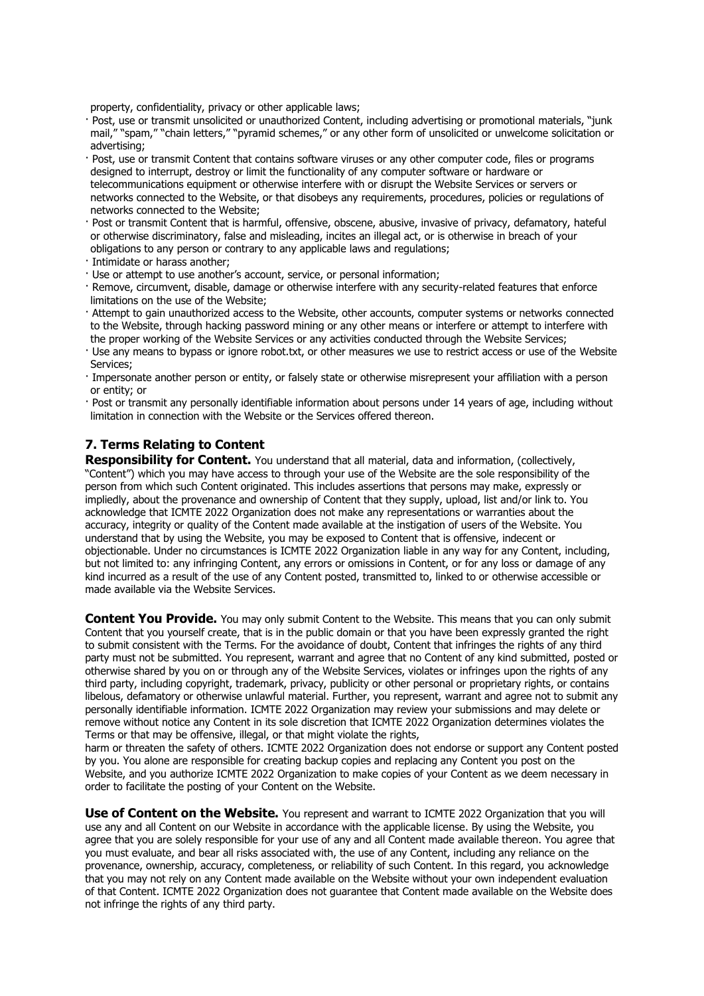property, confidentiality, privacy or other applicable laws;

- · Post, use or transmit unsolicited or unauthorized Content, including advertising or promotional materials, "junk mail," "spam," "chain letters," "pyramid schemes," or any other form of unsolicited or unwelcome solicitation or advertising;
- · Post, use or transmit Content that contains software viruses or any other computer code, files or programs designed to interrupt, destroy or limit the functionality of any computer software or hardware or telecommunications equipment or otherwise interfere with or disrupt the Website Services or servers or networks connected to the Website, or that disobeys any requirements, procedures, policies or regulations of networks connected to the Website;
- · Post or transmit Content that is harmful, offensive, obscene, abusive, invasive of privacy, defamatory, hateful or otherwise discriminatory, false and misleading, incites an illegal act, or is otherwise in breach of your obligations to any person or contrary to any applicable laws and regulations;
- · Intimidate or harass another;
- · Use or attempt to use another's account, service, or personal information;
- · Remove, circumvent, disable, damage or otherwise interfere with any security-related features that enforce limitations on the use of the Website;
- · Attempt to gain unauthorized access to the Website, other accounts, computer systems or networks connected to the Website, through hacking password mining or any other means or interfere or attempt to interfere with the proper working of the Website Services or any activities conducted through the Website Services;
- · Use any means to bypass or ignore robot.txt, or other measures we use to restrict access or use of the Website Services;
- · Impersonate another person or entity, or falsely state or otherwise misrepresent your affiliation with a person or entity; or
- · Post or transmit any personally identifiable information about persons under 14 years of age, including without limitation in connection with the Website or the Services offered thereon.

# **7. Terms Relating to Content**

**Responsibility for Content.** You understand that all material, data and information, (collectively, "Content") which you may have access to through your use of the Website are the sole responsibility of the person from which such Content originated. This includes assertions that persons may make, expressly or impliedly, about the provenance and ownership of Content that they supply, upload, list and/or link to. You acknowledge that ICMTE 2022 Organization does not make any representations or warranties about the accuracy, integrity or quality of the Content made available at the instigation of users of the Website. You understand that by using the Website, you may be exposed to Content that is offensive, indecent or objectionable. Under no circumstances is ICMTE 2022 Organization liable in any way for any Content, including, but not limited to: any infringing Content, any errors or omissions in Content, or for any loss or damage of any kind incurred as a result of the use of any Content posted, transmitted to, linked to or otherwise accessible or made available via the Website Services.

**Content You Provide.** You may only submit Content to the Website. This means that you can only submit Content that you yourself create, that is in the public domain or that you have been expressly granted the right to submit consistent with the Terms. For the avoidance of doubt, Content that infringes the rights of any third party must not be submitted. You represent, warrant and agree that no Content of any kind submitted, posted or otherwise shared by you on or through any of the Website Services, violates or infringes upon the rights of any third party, including copyright, trademark, privacy, publicity or other personal or proprietary rights, or contains libelous, defamatory or otherwise unlawful material. Further, you represent, warrant and agree not to submit any personally identifiable information. ICMTE 2022 Organization may review your submissions and may delete or remove without notice any Content in its sole discretion that ICMTE 2022 Organization determines violates the Terms or that may be offensive, illegal, or that might violate the rights,

harm or threaten the safety of others. ICMTE 2022 Organization does not endorse or support any Content posted by you. You alone are responsible for creating backup copies and replacing any Content you post on the Website, and you authorize ICMTE 2022 Organization to make copies of your Content as we deem necessary in order to facilitate the posting of your Content on the Website.

**Use of Content on the Website.** You represent and warrant to ICMTE 2022 Organization that you will use any and all Content on our Website in accordance with the applicable license. By using the Website, you agree that you are solely responsible for your use of any and all Content made available thereon. You agree that you must evaluate, and bear all risks associated with, the use of any Content, including any reliance on the provenance, ownership, accuracy, completeness, or reliability of such Content. In this regard, you acknowledge that you may not rely on any Content made available on the Website without your own independent evaluation of that Content. ICMTE 2022 Organization does not guarantee that Content made available on the Website does not infringe the rights of any third party.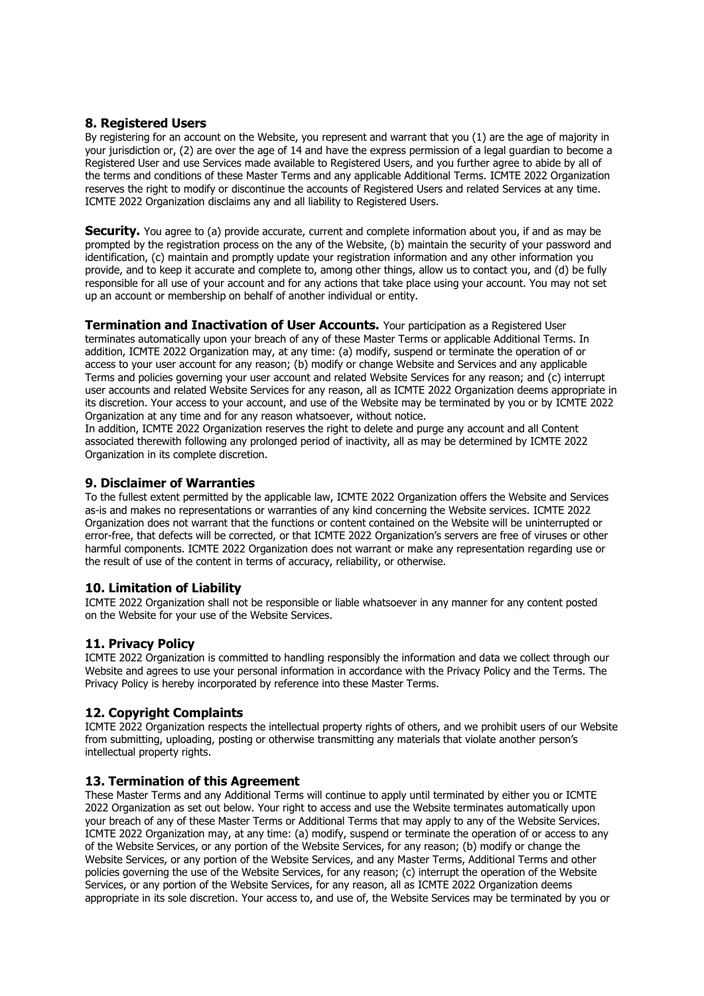# **8. Registered Users**

By registering for an account on the Website, you represent and warrant that you (1) are the age of majority in your jurisdiction or, (2) are over the age of 14 and have the express permission of a legal guardian to become a Registered User and use Services made available to Registered Users, and you further agree to abide by all of the terms and conditions of these Master Terms and any applicable Additional Terms. ICMTE 2022 Organization reserves the right to modify or discontinue the accounts of Registered Users and related Services at any time. ICMTE 2022 Organization disclaims any and all liability to Registered Users.

**Security.** You agree to (a) provide accurate, current and complete information about you, if and as may be prompted by the registration process on the any of the Website, (b) maintain the security of your password and identification, (c) maintain and promptly update your registration information and any other information you provide, and to keep it accurate and complete to, among other things, allow us to contact you, and (d) be fully responsible for all use of your account and for any actions that take place using your account. You may not set up an account or membership on behalf of another individual or entity.

**Termination and Inactivation of User Accounts.** Your participation as a Registered User

terminates automatically upon your breach of any of these Master Terms or applicable Additional Terms. In addition, ICMTE 2022 Organization may, at any time: (a) modify, suspend or terminate the operation of or access to your user account for any reason; (b) modify or change Website and Services and any applicable Terms and policies governing your user account and related Website Services for any reason; and (c) interrupt user accounts and related Website Services for any reason, all as ICMTE 2022 Organization deems appropriate in its discretion. Your access to your account, and use of the Website may be terminated by you or by ICMTE 2022 Organization at any time and for any reason whatsoever, without notice.

In addition, ICMTE 2022 Organization reserves the right to delete and purge any account and all Content associated therewith following any prolonged period of inactivity, all as may be determined by ICMTE 2022 Organization in its complete discretion.

#### **9. Disclaimer of Warranties**

To the fullest extent permitted by the applicable law, ICMTE 2022 Organization offers the Website and Services as-is and makes no representations or warranties of any kind concerning the Website services. ICMTE 2022 Organization does not warrant that the functions or content contained on the Website will be uninterrupted or error-free, that defects will be corrected, or that ICMTE 2022 Organization's servers are free of viruses or other harmful components. ICMTE 2022 Organization does not warrant or make any representation regarding use or the result of use of the content in terms of accuracy, reliability, or otherwise.

# **10. Limitation of Liability**

ICMTE 2022 Organization shall not be responsible or liable whatsoever in any manner for any content posted on the Website for your use of the Website Services.

# **11. Privacy Policy**

ICMTE 2022 Organization is committed to handling responsibly the information and data we collect through our Website and agrees to use your personal information in accordance with the Privacy Policy and the Terms. The Privacy Policy is hereby incorporated by reference into these Master Terms.

# **12. Copyright Complaints**

ICMTE 2022 Organization respects the intellectual property rights of others, and we prohibit users of our Website from submitting, uploading, posting or otherwise transmitting any materials that violate another person's intellectual property rights.

# **13. Termination of this Agreement**

These Master Terms and any Additional Terms will continue to apply until terminated by either you or ICMTE 2022 Organization as set out below. Your right to access and use the Website terminates automatically upon your breach of any of these Master Terms or Additional Terms that may apply to any of the Website Services. ICMTE 2022 Organization may, at any time: (a) modify, suspend or terminate the operation of or access to any of the Website Services, or any portion of the Website Services, for any reason; (b) modify or change the Website Services, or any portion of the Website Services, and any Master Terms, Additional Terms and other policies governing the use of the Website Services, for any reason; (c) interrupt the operation of the Website Services, or any portion of the Website Services, for any reason, all as ICMTE 2022 Organization deems appropriate in its sole discretion. Your access to, and use of, the Website Services may be terminated by you or